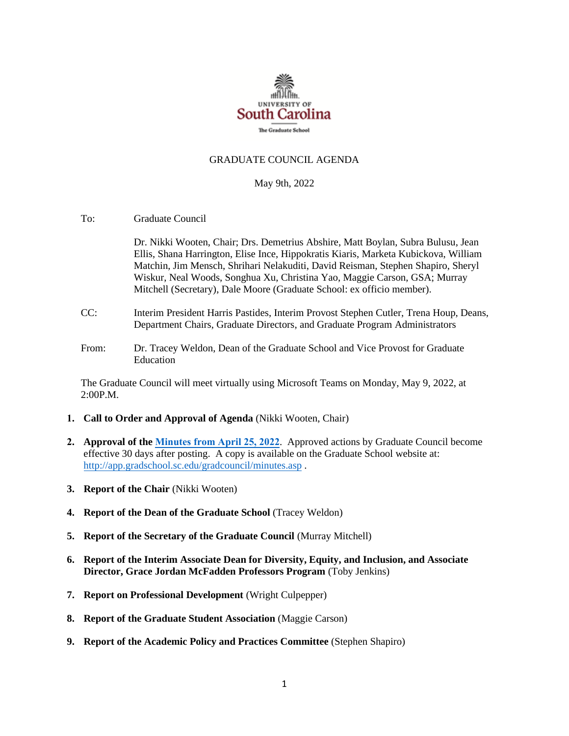

## GRADUATE COUNCIL AGENDA

#### May 9th, 2022

To: Graduate Council

Dr. Nikki Wooten, Chair; Drs. Demetrius Abshire, Matt Boylan, Subra Bulusu, Jean Ellis, Shana Harrington, Elise Ince, Hippokratis Kiaris, Marketa Kubickova, William Matchin, Jim Mensch, Shrihari Nelakuditi, David Reisman, Stephen Shapiro, Sheryl Wiskur, Neal Woods, Songhua Xu, Christina Yao, Maggie Carson, GSA; Murray Mitchell (Secretary), Dale Moore (Graduate School: ex officio member).

- CC: Interim President Harris Pastides, Interim Provost Stephen Cutler, Trena Houp, Deans, Department Chairs, Graduate Directors, and Graduate Program Administrators
- From: Dr. Tracey Weldon, Dean of the Graduate School and Vice Provost for Graduate Education

The Graduate Council will meet virtually using Microsoft Teams on Monday, May 9, 2022, at 2:00P.M.

- **1. Call to Order and Approval of Agenda** (Nikki Wooten, Chair)
- **2. Approval of the Minutes from April 25, 2022**. Approved actions by Graduate Council become effective 30 days after posting. A copy is available on the Graduate School website at: [http://app.gradschool.sc.edu/gradcouncil/minutes.asp](https://www.sc.edu/study/colleges_schools/graduate_school/for-faculty_staff/graduate_council/graduate_council_minutes/index.php) .
- **3. Report of the Chair** (Nikki Wooten)
- **4. Report of the Dean of the Graduate School** (Tracey Weldon)
- **5. Report of the Secretary of the Graduate Council** (Murray Mitchell)
- **6. Report of the Interim Associate Dean for Diversity, Equity, and Inclusion, and Associate Director, Grace Jordan McFadden Professors Program** (Toby Jenkins)
- **7. Report on Professional Development** (Wright Culpepper)
- **8. Report of the Graduate Student Association** (Maggie Carson)
- **9. Report of the Academic Policy and Practices Committee** (Stephen Shapiro)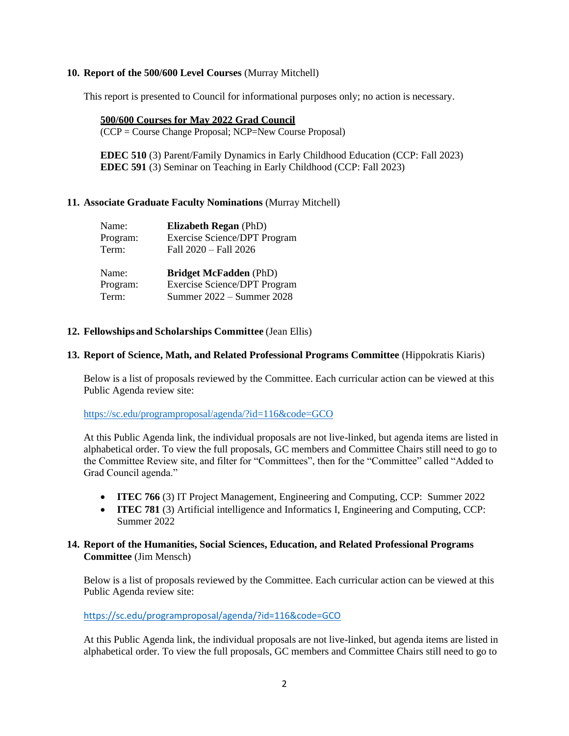## **10. Report of the 500/600 Level Courses** (Murray Mitchell)

This report is presented to Council for informational purposes only; no action is necessary.

#### **500/600 Courses for May 2022 Grad Council**

(CCP = Course Change Proposal; NCP=New Course Proposal)

**EDEC 510** (3) Parent/Family Dynamics in Early Childhood Education (CCP: Fall 2023) **EDEC 591** (3) Seminar on Teaching in Early Childhood (CCP: Fall 2023)

# **11. Associate Graduate Faculty Nominations** (Murray Mitchell)

| Name:    | <b>Elizabeth Regan (PhD)</b>        |
|----------|-------------------------------------|
| Program: | <b>Exercise Science/DPT Program</b> |
| Term:    | Fall 2020 - Fall 2026               |
| Name:    | <b>Bridget McFadden</b> (PhD)       |
| Program: | <b>Exercise Science/DPT Program</b> |
| Term:    | Summer 2022 – Summer 2028           |

## **12. Fellowships and Scholarships Committee** (Jean Ellis)

## **13. Report of Science, Math, and Related Professional Programs Committee** (Hippokratis Kiaris)

Below is a list of proposals reviewed by the Committee. Each curricular action can be viewed at this Public Agenda review site:

<https://sc.edu/programproposal/agenda/?id=116&code=GCO>

At this Public Agenda link, the individual proposals are not live-linked, but agenda items are listed in alphabetical order. To view the full proposals, GC members and Committee Chairs still need to go to the Committee Review site, and filter for "Committees", then for the "Committee" called "Added to Grad Council agenda."

- **ITEC 766** (3) IT Project Management, Engineering and Computing, CCP: Summer 2022
- **ITEC 781** (3) Artificial intelligence and Informatics I, Engineering and Computing, CCP: Summer 2022

# **14. Report of the Humanities, Social Sciences, Education, and Related Professional Programs Committee** (Jim Mensch)

Below is a list of proposals reviewed by the Committee. Each curricular action can be viewed at this Public Agenda review site:

<https://sc.edu/programproposal/agenda/?id=116&code=GCO>

At this Public Agenda link, the individual proposals are not live-linked, but agenda items are listed in alphabetical order. To view the full proposals, GC members and Committee Chairs still need to go to